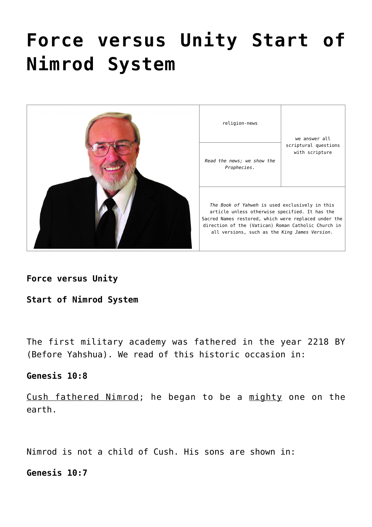# **[Force versus Unity Start of](https://yahwehsbranch.com/force-versus-unity-start-of-nimrod-system/) [Nimrod System](https://yahwehsbranch.com/force-versus-unity-start-of-nimrod-system/)**



**Force versus Unity**

**Start of Nimrod System**

The first military academy was fathered in the year 2218 BY (Before Yahshua). We read of this historic occasion in:

## **Genesis 10:8**

Cush fathered Nimrod; he began to be a mighty one on the earth.

Nimrod is not a child of Cush. His sons are shown in:

**Genesis 10:7**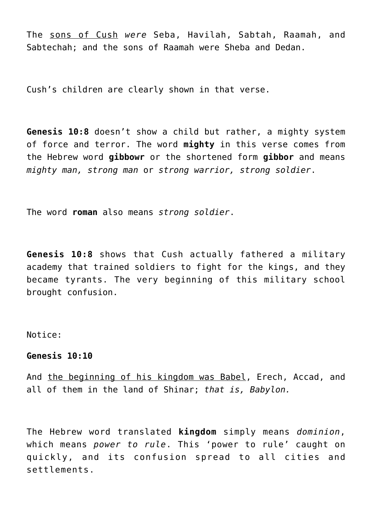The sons of Cush *were* Seba, Havilah, Sabtah, Raamah, and Sabtechah; and the sons of Raamah were Sheba and Dedan.

Cush's children are clearly shown in that verse.

**Genesis 10:8** doesn't show a child but rather, a mighty system of force and terror. The word **mighty** in this verse comes from the Hebrew word **gibbowr** or the shortened form **gibbor** and means *mighty man, strong man* or *strong warrior, strong soldier*.

The word **roman** also means *strong soldier*.

**Genesis 10:8** shows that Cush actually fathered a military academy that trained soldiers to fight for the kings, and they became tyrants. The very beginning of this military school brought confusion.

Notice:

## **Genesis 10:10**

And the beginning of his kingdom was Babel, Erech, Accad, and all of them in the land of Shinar; *that is, Babylon.*

The Hebrew word translated **kingdom** simply means *dominion*, which means *power to rule*. This 'power to rule' caught on quickly, and its confusion spread to all cities and settlements.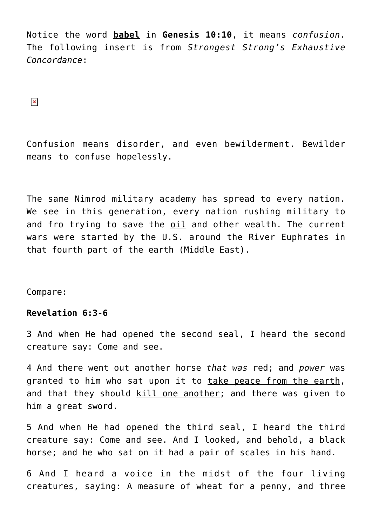Notice the word **babel** in **Genesis 10:10**, it means *confusion*. The following insert is from *Strongest Strong's Exhaustive Concordance*:

 $\pmb{\times}$ 

Confusion means disorder, and even bewilderment. Bewilder means to confuse hopelessly.

The same Nimrod military academy has spread to every nation. We see in this generation, every nation rushing military to and fro trying to save the oil and other wealth. The current wars were started by the U.S. around the River Euphrates in that fourth part of the earth (Middle East).

Compare:

# **Revelation 6:3-6**

3 And when He had opened the second seal, I heard the second creature say: Come and see.

4 And there went out another horse *that was* red; and *power* was granted to him who sat upon it to take peace from the earth, and that they should kill one another; and there was given to him a great sword.

5 And when He had opened the third seal, I heard the third creature say: Come and see. And I looked, and behold, a black horse; and he who sat on it had a pair of scales in his hand.

6 And I heard a voice in the midst of the four living creatures, saying: A measure of wheat for a penny, and three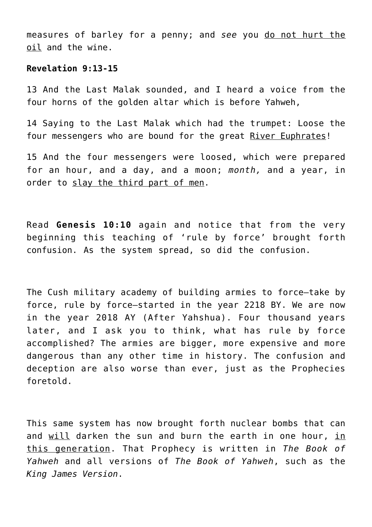measures of barley for a penny; and *see* you do not hurt the oil and the wine.

#### **Revelation 9:13-15**

13 And the Last Malak sounded, and I heard a voice from the four horns of the golden altar which is before Yahweh,

14 Saying to the Last Malak which had the trumpet: Loose the four messengers who are bound for the great River Euphrates!

15 And the four messengers were loosed, which were prepared for an hour, and a day, and a moon; *month,* and a year, in order to slay the third part of men.

Read **Genesis 10:10** again and notice that from the very beginning this teaching of 'rule by force' brought forth confusion. As the system spread, so did the confusion.

The Cush military academy of building armies to force—take by force, rule by force—started in the year 2218 BY. We are now in the year 2018 AY (After Yahshua). Four thousand years later, and I ask you to think, what has rule by force accomplished? The armies are bigger, more expensive and more dangerous than any other time in history. The confusion and deception are also worse than ever, just as the Prophecies foretold.

This same system has now brought forth nuclear bombs that can and will darken the sun and burn the earth in one hour, in this generation. That Prophecy is written in *The Book of Yahweh* and all versions of *The Book of Yahweh*, such as the *King James Version*.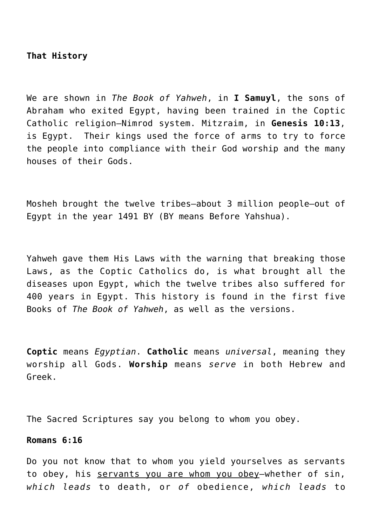## **That History**

We are shown in *The Book of Yahweh*, in **I Samuyl**, the sons of Abraham who exited Egypt, having been trained in the Coptic Catholic religion—Nimrod system. Mitzraim, in **Genesis 10:13**, is Egypt. Their kings used the force of arms to try to force the people into compliance with their God worship and the many houses of their Gods.

Mosheh brought the twelve tribes—about 3 million people—out of Egypt in the year 1491 BY (BY means Before Yahshua).

Yahweh gave them His Laws with the warning that breaking those Laws, as the Coptic Catholics do, is what brought all the diseases upon Egypt, which the twelve tribes also suffered for 400 years in Egypt. This history is found in the first five Books of *The Book of Yahweh*, as well as the versions.

**Coptic** means *Egyptian*. **Catholic** means *universal*, meaning they worship all Gods. **Worship** means *serve* in both Hebrew and Greek.

The Sacred Scriptures say you belong to whom you obey.

#### **Romans 6:16**

Do you not know that to whom you yield yourselves as servants to obey, his servants you are whom you obey-whether of sin, *which leads* to death, or *of* obedience, *which leads* to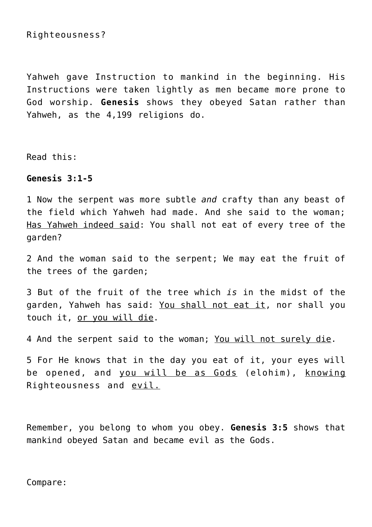## Righteousness?

Yahweh gave Instruction to mankind in the beginning. His Instructions were taken lightly as men became more prone to God worship. **Genesis** shows they obeyed Satan rather than Yahweh, as the 4,199 religions do.

Read this:

#### **Genesis 3:1-5**

1 Now the serpent was more subtle *and* crafty than any beast of the field which Yahweh had made. And she said to the woman; Has Yahweh indeed said: You shall not eat of every tree of the garden?

2 And the woman said to the serpent; We may eat the fruit of the trees of the garden;

3 But of the fruit of the tree which *is* in the midst of the garden, Yahweh has said: You shall not eat it, nor shall you touch it, or you will die.

4 And the serpent said to the woman; You will not surely die.

5 For He knows that in the day you eat of it, your eyes will be opened, and you will be as Gods (elohim), knowing Righteousness and <u>evil.</u>

Remember, you belong to whom you obey. **Genesis 3:5** shows that mankind obeyed Satan and became evil as the Gods.

Compare: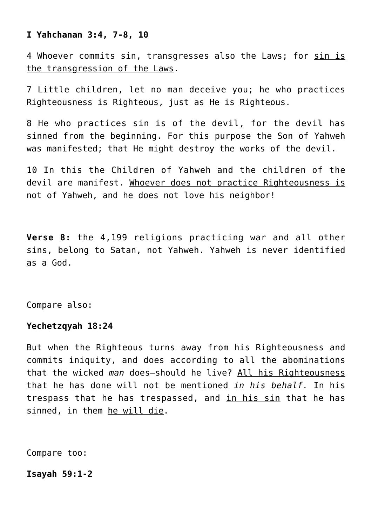# **I Yahchanan 3:4, 7-8, 10**

4 Whoever commits sin, transgresses also the Laws; for sin is the transgression of the Laws.

7 Little children, let no man deceive you; he who practices Righteousness is Righteous, just as He is Righteous.

8 He who practices sin is of the devil, for the devil has sinned from the beginning. For this purpose the Son of Yahweh was manifested; that He might destroy the works of the devil.

10 In this the Children of Yahweh and the children of the devil are manifest. Whoever does not practice Righteousness is not of Yahweh, and he does not love his neighbor!

**Verse 8:** the 4,199 religions practicing war and all other sins, belong to Satan, not Yahweh. Yahweh is never identified as a God.

Compare also:

## **Yechetzqyah 18:24**

But when the Righteous turns away from his Righteousness and commits iniquity, and does according to all the abominations that the wicked *man* does—should he live? All his Righteousness that he has done will not be mentioned *in his behalf.* In his trespass that he has trespassed, and in his sin that he has sinned, in them he will die.

Compare too:

# **Isayah 59:1-2**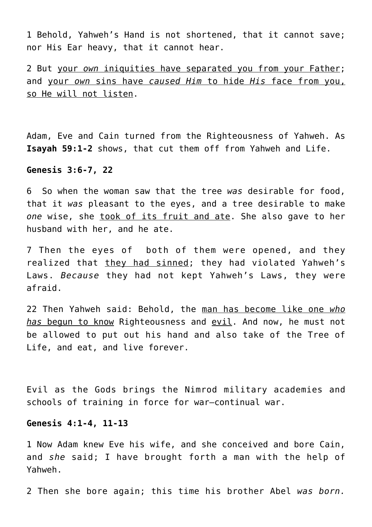1 Behold, Yahweh's Hand is not shortened, that it cannot save; nor His Ear heavy, that it cannot hear.

2 But your *own* iniquities have separated you from your Father; and your *own* sins have *caused Him* to hide *His* face from you, so He will not listen.

Adam, Eve and Cain turned from the Righteousness of Yahweh. As **Isayah 59:1-2** shows, that cut them off from Yahweh and Life.

**Genesis 3:6-7, 22**

6 So when the woman saw that the tree *was* desirable for food, that it *was* pleasant to the eyes, and a tree desirable to make *one* wise, she took of its fruit and ate. She also gave to her husband with her, and he ate.

7 Then the eyes of both of them were opened, and they realized that they had sinned; they had violated Yahweh's Laws. *Because* they had not kept Yahweh's Laws, they were afraid.

22 Then Yahweh said: Behold, the man has become like one *who has* begun to know Righteousness and evil. And now, he must not be allowed to put out his hand and also take of the Tree of Life, and eat, and live forever.

Evil as the Gods brings the Nimrod military academies and schools of training in force for war—continual war.

#### **Genesis 4:1-4, 11-13**

1 Now Adam knew Eve his wife, and she conceived and bore Cain, and *she* said; I have brought forth a man with the help of Yahweh.

2 Then she bore again; this time his brother Abel *was born.*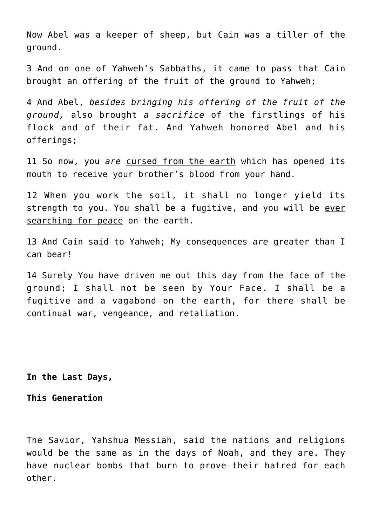Now Abel was a keeper of sheep, but Cain was a tiller of the ground.

3 And on one of Yahweh's Sabbaths, it came to pass that Cain brought an offering of the fruit of the ground to Yahweh;

4 And Abel, *besides bringing his offering of the fruit of the ground,* also brought *a sacrifice* of the firstlings of his flock and of their fat. And Yahweh honored Abel and his offerings;

11 So now, you *are* cursed from the earth which has opened its mouth to receive your brother's blood from your hand.

12 When you work the soil, it shall no longer yield its strength to you. You shall be a fugitive, and you will be ever searching for peace on the earth.

13 And Cain said to Yahweh; My consequences *are* greater than I can bear!

14 Surely You have driven me out this day from the face of the ground; I shall not be seen by Your Face. I shall be a fugitive and a vagabond on the earth, for there shall be continual war, vengeance, and retaliation.

**In the Last Days,**

**This Generation**

The Savior, Yahshua Messiah, said the nations and religions would be the same as in the days of Noah, and they are. They have nuclear bombs that burn to prove their hatred for each other.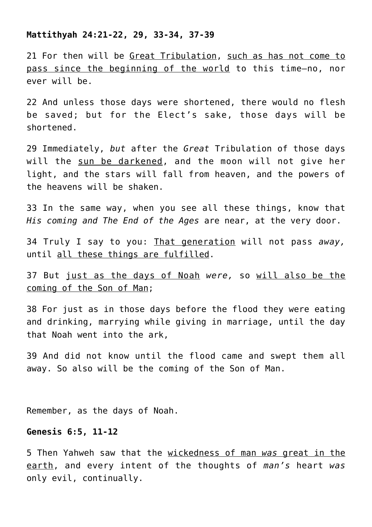#### **Mattithyah 24:21-22, 29, 33-34, 37-39**

21 For then will be Great Tribulation, such as has not come to pass since the beginning of the world to this time—no, nor ever will be.

22 And unless those days were shortened, there would no flesh be saved; but for the Elect's sake, those days will be shortened.

29 Immediately, *but* after the *Great* Tribulation of those days will the sun be darkened, and the moon will not give her light, and the stars will fall from heaven, and the powers of the heavens will be shaken.

33 In the same way, when you see all these things, know that *His coming and The End of the Ages* are near, at the very door.

34 Truly I say to you: That generation will not pass *away,* until all these things are fulfilled.

37 But just as the days of Noah *were,* so will also be the coming of the Son of Man;

38 For just as in those days before the flood they were eating and drinking, marrying while giving in marriage, until the day that Noah went into the ark,

39 And did not know until the flood came and swept them all away. So also will be the coming of the Son of Man.

Remember, as the days of Noah.

## **Genesis 6:5, 11-12**

5 Then Yahweh saw that the wickedness of man *was* great in the earth, and every intent of the thoughts of *man's* heart *was* only evil, continually.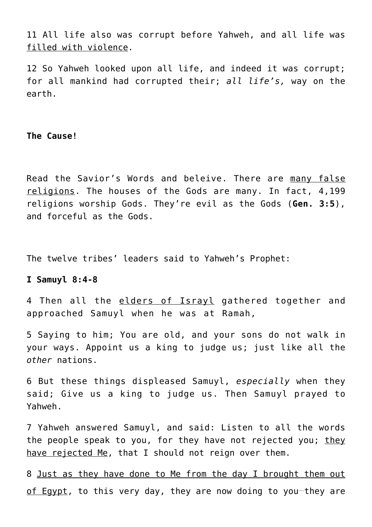11 All life also was corrupt before Yahweh, and all life was filled with violence.

12 So Yahweh looked upon all life, and indeed it was corrupt; for all mankind had corrupted their; *all life's,* way on the earth.

**The Cause!**

Read the Savior's Words and beleive. There are many false religions. The houses of the Gods are many. In fact, 4,199 religions worship Gods. They're evil as the Gods (**Gen. 3:5**), and forceful as the Gods.

The twelve tribes' leaders said to Yahweh's Prophet:

## **I Samuyl 8:4-8**

4 Then all the elders of Israyl gathered together and approached Samuyl when he was at Ramah,

5 Saying to him; You are old, and your sons do not walk in your ways. Appoint us a king to judge us; just like all the *other* nations.

6 But these things displeased Samuyl, *especially* when they said; Give us a king to judge us. Then Samuyl prayed to Yahweh.

7 Yahweh answered Samuyl, and said: Listen to all the words the people speak to you, for they have not rejected you; they have rejected Me, that I should not reign over them.

8 Just as they have done to Me from the day I brought them out of Egypt, to this very day, they are now doing to you-they are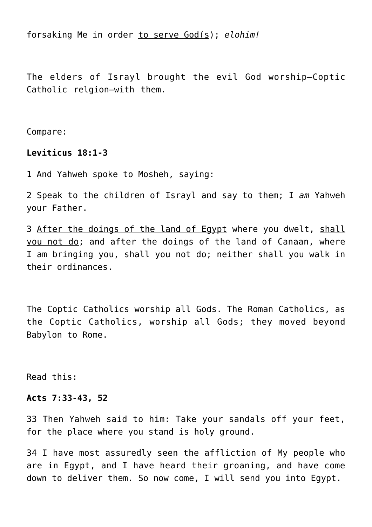forsaking Me in order to serve God(s); *elohim!*

The elders of Israyl brought the evil God worship—Coptic Catholic relgion—with them.

Compare:

## **Leviticus 18:1-3**

1 And Yahweh spoke to Mosheh, saying:

2 Speak to the children of Israyl and say to them; I *am* Yahweh your Father.

3 After the doings of the land of Egypt where you dwelt, shall you not do; and after the doings of the land of Canaan, where I am bringing you, shall you not do; neither shall you walk in their ordinances.

The Coptic Catholics worship all Gods. The Roman Catholics, as the Coptic Catholics, worship all Gods; they moved beyond Babylon to Rome.

Read this:

#### **Acts 7:33-43, 52**

33 Then Yahweh said to him: Take your sandals off your feet, for the place where you stand is holy ground.

34 I have most assuredly seen the affliction of My people who are in Egypt, and I have heard their groaning, and have come down to deliver them. So now come, I will send you into Egypt.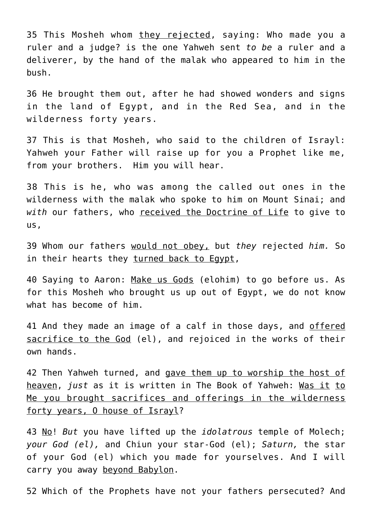35 This Mosheh whom they rejected, saying: Who made you a ruler and a judge? is the one Yahweh sent *to be* a ruler and a deliverer, by the hand of the malak who appeared to him in the bush.

36 He brought them out, after he had showed wonders and signs in the land of Egypt, and in the Red Sea, and in the wilderness forty years.

37 This is that Mosheh, who said to the children of Israyl: Yahweh your Father will raise up for you a Prophet like me, from your brothers. Him you will hear.

38 This is he, who was among the called out ones in the wilderness with the malak who spoke to him on Mount Sinai; and *with* our fathers, who received the Doctrine of Life to give to us,

39 Whom our fathers would not obey, but *they* rejected *him.* So in their hearts they turned back to Egypt,

40 Saying to Aaron: Make us Gods (elohim) to go before us. As for this Mosheh who brought us up out of Egypt, we do not know what has become of him.

41 And they made an image of a calf in those days, and offered sacrifice to the God (el), and rejoiced in the works of their own hands.

42 Then Yahweh turned, and gave them up to worship the host of heaven, *just* as it is written in The Book of Yahweh: Was it to Me you brought sacrifices and offerings in the wilderness forty years, O house of Israyl?

43 No! *But* you have lifted up the *idolatrous* temple of Molech; *your God (el),* and Chiun your star-God (el); *Saturn,* the star of your God (el) which you made for yourselves. And I will carry you away beyond Babylon.

52 Which of the Prophets have not your fathers persecuted? And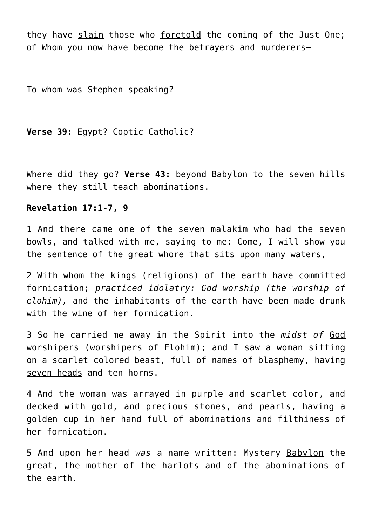they have slain those who foretold the coming of the Just One; of Whom you now have become the betrayers and murderers**—**

To whom was Stephen speaking?

**Verse 39:** Egypt? Coptic Catholic?

Where did they go? **Verse 43:** beyond Babylon to the seven hills where they still teach abominations.

#### **Revelation 17:1-7, 9**

1 And there came one of the seven malakim who had the seven bowls, and talked with me, saying to me: Come, I will show you the sentence of the great whore that sits upon many waters,

2 With whom the kings (religions) of the earth have committed fornication; *practiced idolatry: God worship (the worship of elohim),* and the inhabitants of the earth have been made drunk with the wine of her fornication.

3 So he carried me away in the Spirit into the *midst of* God worshipers (worshipers of Elohim); and I saw a woman sitting on a scarlet colored beast, full of names of blasphemy, having seven heads and ten horns.

4 And the woman was arrayed in purple and scarlet color, and decked with gold, and precious stones, and pearls, having a golden cup in her hand full of abominations and filthiness of her fornication.

5 And upon her head *was* a name written: Mystery Babylon the great, the mother of the harlots and of the abominations of the earth.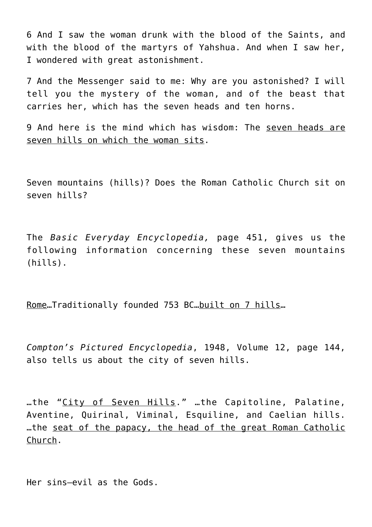6 And I saw the woman drunk with the blood of the Saints, and with the blood of the martyrs of Yahshua. And when I saw her, I wondered with great astonishment.

7 And the Messenger said to me: Why are you astonished? I will tell you the mystery of the woman, and of the beast that carries her, which has the seven heads and ten horns.

9 And here is the mind which has wisdom: The seven heads are seven hills on which the woman sits.

Seven mountains (hills)? Does the Roman Catholic Church sit on seven hills?

The *Basic Everyday Encyclopedia,* page 451, gives us the following information concerning these seven mountains (hills).

Rome…Traditionally founded 753 BC…built on 7 hills…

*Compton's Pictured Encyclopedia*, 1948, Volume 12, page 144, also tells us about the city of seven hills.

…the "City of Seven Hills." …the Capitoline, Palatine, Aventine, Quirinal, Viminal, Esquiline, and Caelian hills. …the seat of the papacy, the head of the great Roman Catholic Church.

Her sins—evil as the Gods.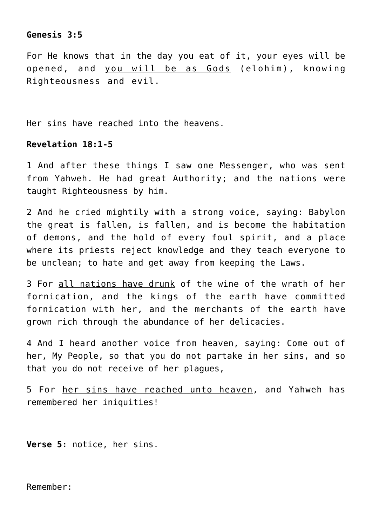# **Genesis 3:5**

For He knows that in the day you eat of it, your eyes will be opened, and you will be as Gods (elohim), knowing Righteousness and evil.

Her sins have reached into the heavens.

## **Revelation 18:1-5**

1 And after these things I saw one Messenger, who was sent from Yahweh. He had great Authority; and the nations were taught Righteousness by him.

2 And he cried mightily with a strong voice, saying: Babylon the great is fallen, is fallen, and is become the habitation of demons, and the hold of every foul spirit, and a place where its priests reject knowledge and they teach everyone to be unclean; to hate and get away from keeping the Laws.

3 For all nations have drunk of the wine of the wrath of her fornication, and the kings of the earth have committed fornication with her, and the merchants of the earth have grown rich through the abundance of her delicacies.

4 And I heard another voice from heaven, saying: Come out of her, My People, so that you do not partake in her sins, and so that you do not receive of her plagues,

5 For her sins have reached unto heaven, and Yahweh has remembered her iniquities!

**Verse 5:** notice, her sins.

Remember: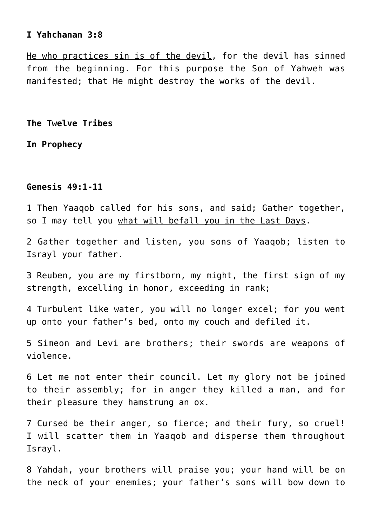## **I Yahchanan 3:8**

He who practices sin is of the devil, for the devil has sinned from the beginning. For this purpose the Son of Yahweh was manifested; that He might destroy the works of the devil.

**The Twelve Tribes**

**In Prophecy**

## **Genesis 49:1-11**

1 Then Yaaqob called for his sons, and said; Gather together, so I may tell you what will befall you in the Last Days.

2 Gather together and listen, you sons of Yaaqob; listen to Israyl your father.

3 Reuben, you are my firstborn, my might, the first sign of my strength, excelling in honor, exceeding in rank;

4 Turbulent like water, you will no longer excel; for you went up onto your father's bed, onto my couch and defiled it.

5 Simeon and Levi are brothers; their swords are weapons of violence.

6 Let me not enter their council. Let my glory not be joined to their assembly; for in anger they killed a man, and for their pleasure they hamstrung an ox.

7 Cursed be their anger, so fierce; and their fury, so cruel! I will scatter them in Yaaqob and disperse them throughout Israyl.

8 Yahdah, your brothers will praise you; your hand will be on the neck of your enemies; your father's sons will bow down to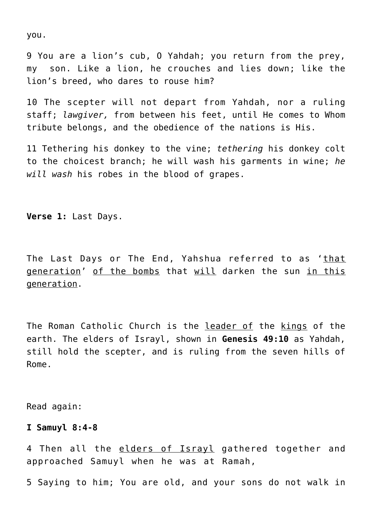you.

9 You are a lion's cub, O Yahdah; you return from the prey, my son. Like a lion, he crouches and lies down; like the lion's breed, who dares to rouse him?

10 The scepter will not depart from Yahdah, nor a ruling staff; *lawgiver,* from between his feet, until He comes to Whom tribute belongs, and the obedience of the nations is His.

11 Tethering his donkey to the vine; *tethering* his donkey colt to the choicest branch; he will wash his garments in wine; *he will wash* his robes in the blood of grapes.

**Verse 1:** Last Days.

The Last Days or The End, Yahshua referred to as 'that generation' of the bombs that will darken the sun in this generation.

The Roman Catholic Church is the leader of the kings of the earth. The elders of Israyl, shown in **Genesis 49:10** as Yahdah, still hold the scepter, and is ruling from the seven hills of Rome.

Read again:

#### **I Samuyl 8:4-8**

4 Then all the elders of Israyl gathered together and approached Samuyl when he was at Ramah,

5 Saying to him; You are old, and your sons do not walk in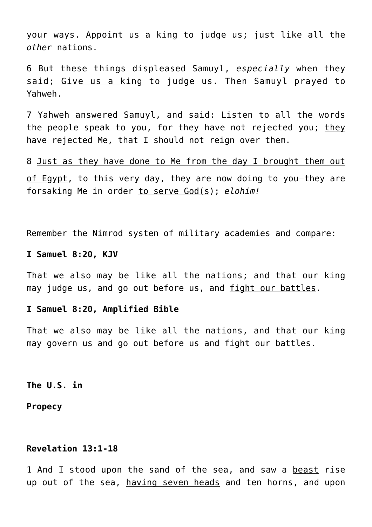your ways. Appoint us a king to judge us; just like all the *other* nations.

6 But these things displeased Samuyl, *especially* when they said; Give us a king to judge us. Then Samuyl prayed to Yahweh.

7 Yahweh answered Samuyl, and said: Listen to all the words the people speak to you, for they have not rejected you; they have rejected Me, that I should not reign over them.

8 Just as they have done to Me from the day I brought them out of Egypt, to this very day, they are now doing to you-they are forsaking Me in order to serve God(s); *elohim!*

Remember the Nimrod systen of military academies and compare:

#### **I Samuel 8:20, KJV**

That we also may be like all the nations; and that our king may judge us, and go out before us, and fight our battles.

## **I Samuel 8:20, Amplified Bible**

That we also may be like all the nations, and that our king may govern us and go out before us and fight our battles.

**The U.S. in**

**Propecy**

# **Revelation 13:1-18**

1 And I stood upon the sand of the sea, and saw a beast rise up out of the sea, having seven heads and ten horns, and upon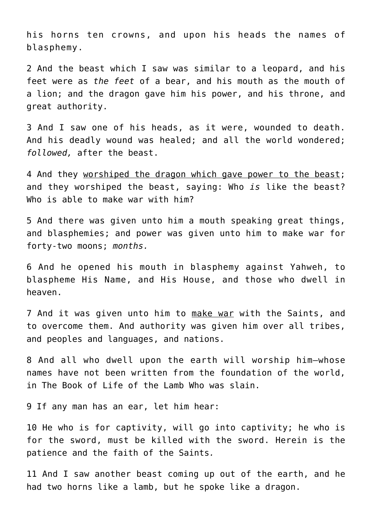his horns ten crowns, and upon his heads the names of blasphemy.

2 And the beast which I saw was similar to a leopard, and his feet were as *the feet* of a bear, and his mouth as the mouth of a lion; and the dragon gave him his power, and his throne, and great authority.

3 And I saw one of his heads, as it were, wounded to death. And his deadly wound was healed; and all the world wondered; *followed,* after the beast.

4 And they worshiped the dragon which gave power to the beast; and they worshiped the beast, saying: Who *is* like the beast? Who is able to make war with him?

5 And there was given unto him a mouth speaking great things, and blasphemies; and power was given unto him to make war for forty-two moons; *months.*

6 And he opened his mouth in blasphemy against Yahweh, to blaspheme His Name, and His House, and those who dwell in heaven.

7 And it was given unto him to make war with the Saints, and to overcome them. And authority was given him over all tribes, and peoples and languages, and nations.

8 And all who dwell upon the earth will worship him—whose names have not been written from the foundation of the world, in The Book of Life of the Lamb Who was slain.

9 If any man has an ear, let him hear:

10 He who is for captivity, will go into captivity; he who is for the sword, must be killed with the sword. Herein is the patience and the faith of the Saints*.*

11 And I saw another beast coming up out of the earth, and he had two horns like a lamb, but he spoke like a dragon.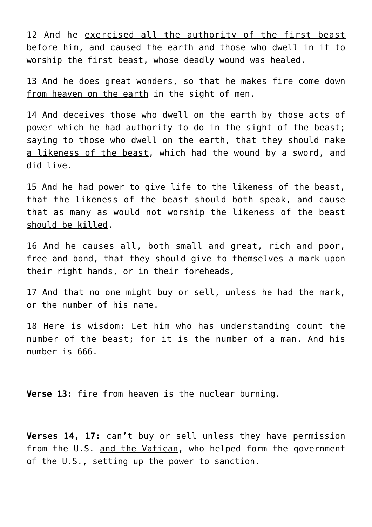12 And he exercised all the authority of the first beast before him, and caused the earth and those who dwell in it to worship the first beast, whose deadly wound was healed.

13 And he does great wonders, so that he makes fire come down from heaven on the earth in the sight of men.

14 And deceives those who dwell on the earth by those acts of power which he had authority to do in the sight of the beast; saying to those who dwell on the earth, that they should make a likeness of the beast, which had the wound by a sword, and did live.

15 And he had power to give life to the likeness of the beast, that the likeness of the beast should both speak, and cause that as many as would not worship the likeness of the beast should be killed.

16 And he causes all, both small and great, rich and poor, free and bond, that they should give to themselves a mark upon their right hands, or in their foreheads,

17 And that no one might buy or sell, unless he had the mark, or the number of his name.

18 Here is wisdom: Let him who has understanding count the number of the beast; for it is the number of a man. And his number is 666.

**Verse 13:** fire from heaven is the nuclear burning.

**Verses 14, 17:** can't buy or sell unless they have permission from the U.S. and the Vatican, who helped form the government of the U.S., setting up the power to sanction.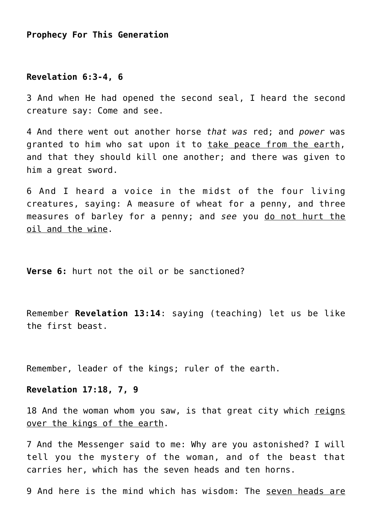# **Prophecy For This Generation**

#### **Revelation 6:3-4, 6**

3 And when He had opened the second seal, I heard the second creature say: Come and see.

4 And there went out another horse *that was* red; and *power* was granted to him who sat upon it to take peace from the earth, and that they should kill one another; and there was given to him a great sword.

6 And I heard a voice in the midst of the four living creatures, saying: A measure of wheat for a penny, and three measures of barley for a penny; and *see* you do not hurt the oil and the wine.

**Verse 6:** hurt not the oil or be sanctioned?

Remember **Revelation 13:14**: saying (teaching) let us be like the first beast.

Remember, leader of the kings; ruler of the earth.

**Revelation 17:18, 7, 9**

18 And the woman whom you saw, is that great city which reigns over the kings of the earth.

7 And the Messenger said to me: Why are you astonished? I will tell you the mystery of the woman, and of the beast that carries her, which has the seven heads and ten horns.

9 And here is the mind which has wisdom: The seven heads are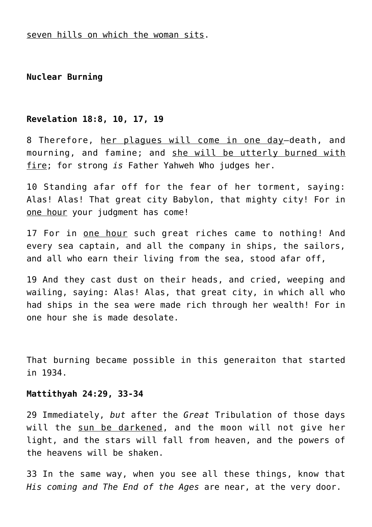**Nuclear Burning**

## **Revelation 18:8, 10, 17, 19**

8 Therefore, her plagues will come in one day—death, and mourning, and famine; and she will be utterly burned with fire; for strong *is* Father Yahweh Who judges her.

10 Standing afar off for the fear of her torment, saying: Alas! Alas! That great city Babylon, that mighty city! For in one hour your judgment has come!

17 For in one hour such great riches came to nothing! And every sea captain, and all the company in ships, the sailors, and all who earn their living from the sea, stood afar off,

19 And they cast dust on their heads, and cried, weeping and wailing, saying: Alas! Alas, that great city, in which all who had ships in the sea were made rich through her wealth! For in one hour she is made desolate.

That burning became possible in this generaiton that started in 1934.

#### **Mattithyah 24:29, 33-34**

29 Immediately, *but* after the *Great* Tribulation of those days will the sun be darkened, and the moon will not give her light, and the stars will fall from heaven, and the powers of the heavens will be shaken.

33 In the same way, when you see all these things, know that *His coming and The End of the Ages* are near, at the very door.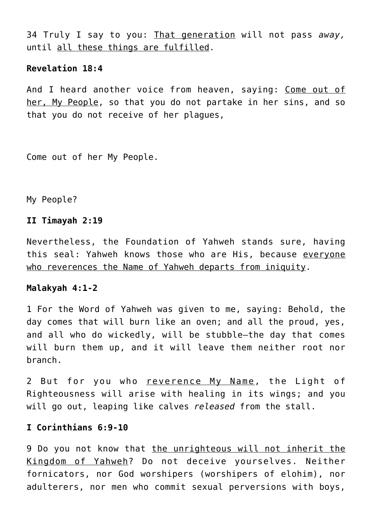34 Truly I say to you: That generation will not pass *away,* until all these things are fulfilled.

## **Revelation 18:4**

And I heard another voice from heaven, saying: Come out of her, My People, so that you do not partake in her sins, and so that you do not receive of her plagues,

Come out of her My People.

My People?

# **II Timayah 2:19**

Nevertheless, the Foundation of Yahweh stands sure, having this seal: Yahweh knows those who are His, because everyone who reverences the Name of Yahweh departs from iniquity.

# **Malakyah 4:1-2**

1 For the Word of Yahweh was given to me, saying: Behold, the day comes that will burn like an oven; and all the proud, yes, and all who do wickedly, will be stubble—the day that comes will burn them up, and it will leave them neither root nor branch.

2 But for you who reverence My Name, the Light of Righteousness will arise with healing in its wings; and you will go out, leaping like calves *released* from the stall.

# **I Corinthians 6:9-10**

9 Do you not know that the unrighteous will not inherit the Kingdom of Yahweh? Do not deceive yourselves. Neither fornicators, nor God worshipers (worshipers of elohim), nor adulterers, nor men who commit sexual perversions with boys,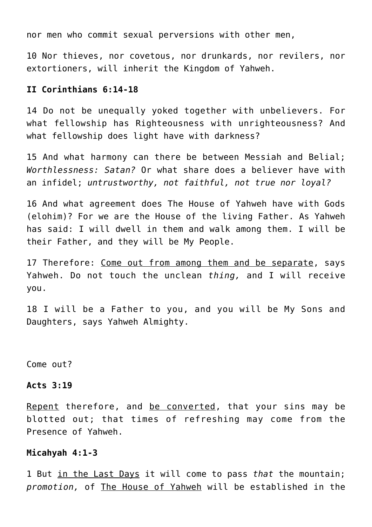nor men who commit sexual perversions with other men,

10 Nor thieves, nor covetous, nor drunkards, nor revilers, nor extortioners, will inherit the Kingdom of Yahweh.

# **II Corinthians 6:14-18**

14 Do not be unequally yoked together with unbelievers. For what fellowship has Righteousness with unrighteousness? And what fellowship does light have with darkness?

15 And what harmony can there be between Messiah and Belial; *Worthlessness: Satan?* Or what share does a believer have with an infidel; *untrustworthy, not faithful, not true nor loyal?*

16 And what agreement does The House of Yahweh have with Gods (elohim)? For we are the House of the living Father. As Yahweh has said: I will dwell in them and walk among them. I will be their Father, and they will be My People.

17 Therefore: Come out from among them and be separate, says Yahweh. Do not touch the unclean *thing,* and I will receive you.

18 I will be a Father to you, and you will be My Sons and Daughters, says Yahweh Almighty.

Come out?

#### **Acts 3:19**

Repent therefore, and be converted, that your sins may be blotted out; that times of refreshing may come from the Presence of Yahweh.

#### **Micahyah 4:1-3**

1 But in the Last Days it will come to pass *that* the mountain; *promotion,* of The House of Yahweh will be established in the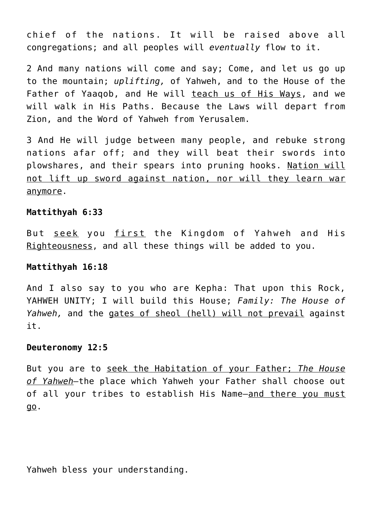chief of the nations. It will be raised above all congregations; and all peoples will *eventually* flow to it.

2 And many nations will come and say; Come, and let us go up to the mountain; *uplifting,* of Yahweh, and to the House of the Father of Yaaqob, and He will teach us of His Ways, and we will walk in His Paths. Because the Laws will depart from Zion, and the Word of Yahweh from Yerusalem.

3 And He will judge between many people, and rebuke strong nations afar off; and they will beat their swords into plowshares, and their spears into pruning hooks. Nation will not lift up sword against nation, nor will they learn war anymore.

#### **Mattithyah 6:33**

But seek you first the Kingdom of Yahweh and His Righteousness, and all these things will be added to you.

## **Mattithyah 16:18**

And I also say to you who are Kepha: That upon this Rock, YAHWEH UNITY; I will build this House; *Family: The House of Yahweh,* and the gates of sheol (hell) will not prevail against it.

# **Deuteronomy 12:5**

But you are to seek the Habitation of your Father; *The House of Yahweh—*the place which Yahweh your Father shall choose out of all your tribes to establish His Name—and there you must go.

Yahweh bless your understanding.